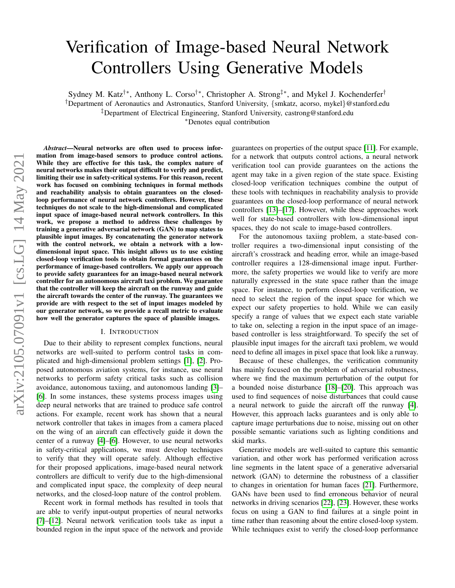# Verification of Image-based Neural Network Controllers Using Generative Models

Sydney M. Katz†∗, Anthony L. Corso†∗, Christopher A. Strong‡∗, and Mykel J. Kochenderfer†

†Department of Aeronautics and Astronautics, Stanford University, {smkatz, acorso, mykel}@stanford.edu

‡Department of Electrical Engineering, Stanford University, castrong@stanford.edu

<sup>∗</sup>Denotes equal contribution

*Abstract*—Neural networks are often used to process information from image-based sensors to produce control actions. While they are effective for this task, the complex nature of neural networks makes their output difficult to verify and predict, limiting their use in safety-critical systems. For this reason, recent work has focused on combining techniques in formal methods and reachability analysis to obtain guarantees on the closedloop performance of neural network controllers. However, these techniques do not scale to the high-dimensional and complicated input space of image-based neural network controllers. In this work, we propose a method to address these challenges by training a generative adversarial network (GAN) to map states to plausible input images. By concatenating the generator network with the control network, we obtain a network with a lowdimensional input space. This insight allows us to use existing closed-loop verification tools to obtain formal guarantees on the performance of image-based controllers. We apply our approach to provide safety guarantees for an image-based neural network controller for an autonomous aircraft taxi problem. We guarantee that the controller will keep the aircraft on the runway and guide the aircraft towards the center of the runway. The guarantees we provide are with respect to the set of input images modeled by our generator network, so we provide a recall metric to evaluate how well the generator captures the space of plausible images.

#### I. INTRODUCTION

Due to their ability to represent complex functions, neural networks are well-suited to perform control tasks in complicated and high-dimensional problem settings [\[1\]](#page-8-0), [\[2\]](#page-8-1). Proposed autonomous aviation systems, for instance, use neural networks to perform safety critical tasks such as collision avoidance, autonomous taxiing, and autonomous landing [\[3\]](#page-8-2)– [\[6\]](#page-8-3). In some instances, these systems process images using deep neural networks that are trained to produce safe control actions. For example, recent work has shown that a neural network controller that takes in images from a camera placed on the wing of an aircraft can effectively guide it down the center of a runway [\[4\]](#page-8-4)–[\[6\]](#page-8-3). However, to use neural networks in safety-critical applications, we must develop techniques to verify that they will operate safely. Although effective for their proposed applications, image-based neural network controllers are difficult to verify due to the high-dimensional and complicated input space, the complexity of deep neural networks, and the closed-loop nature of the control problem.

Recent work in formal methods has resulted in tools that are able to verify input-output properties of neural networks [\[7\]](#page-8-5)–[\[12\]](#page-8-6). Neural network verification tools take as input a bounded region in the input space of the network and provide

guarantees on properties of the output space [\[11\]](#page-8-7). For example, for a network that outputs control actions, a neural network verification tool can provide guarantees on the actions the agent may take in a given region of the state space. Existing closed-loop verification techniques combine the output of these tools with techniques in reachability analysis to provide guarantees on the closed-loop performance of neural network controllers [\[13\]](#page-8-8)–[\[17\]](#page-8-9). However, while these approaches work well for state-based controllers with low-dimensional input spaces, they do not scale to image-based controllers.

For the autonomous taxiing problem, a state-based controller requires a two-dimensional input consisting of the aircraft's crosstrack and heading error, while an image-based controller requires a 128-dimensional image input. Furthermore, the safety properties we would like to verify are more naturally expressed in the state space rather than the image space. For instance, to perform closed-loop verification, we need to select the region of the input space for which we expect our safety properties to hold. While we can easily specify a range of values that we expect each state variable to take on, selecting a region in the input space of an imagebased controller is less straightforward. To specify the set of plausible input images for the aircraft taxi problem, we would need to define all images in pixel space that look like a runway.

Because of these challenges, the verification community has mainly focused on the problem of adversarial robustness, where we find the maximum perturbation of the output for a bounded noise disturbance [\[18\]](#page-9-0)–[\[20\]](#page-9-1). This approach was used to find sequences of noise disturbances that could cause a neural network to guide the aircraft off the runway [\[4\]](#page-8-4). However, this approach lacks guarantees and is only able to capture image perturbations due to noise, missing out on other possible semantic variations such as lighting conditions and skid marks.

Generative models are well-suited to capture this semantic variation, and other work has performed verification across line segments in the latent space of a generative adversarial network (GAN) to determine the robustness of a classifier to changes in orientation for human faces [\[21\]](#page-9-2). Furthermore, GANs have been used to find erroneous behavior of neural networks in driving scenarios [\[22\]](#page-9-3), [\[23\]](#page-9-4). However, these works focus on using a GAN to find failures at a single point in time rather than reasoning about the entire closed-loop system. While techniques exist to verify the closed-loop performance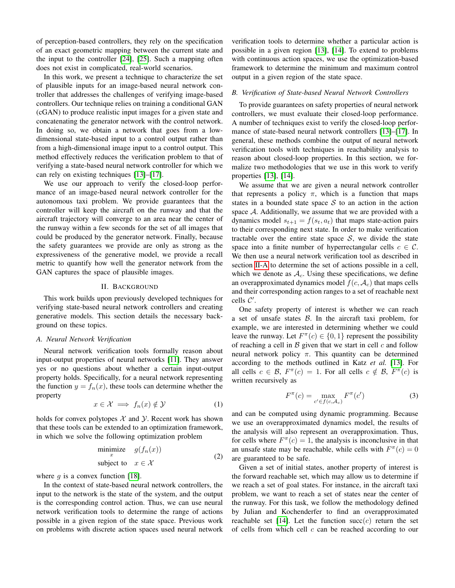of perception-based controllers, they rely on the specification of an exact geometric mapping between the current state and the input to the controller [\[24\]](#page-9-5), [\[25\]](#page-9-6). Such a mapping often does not exist in complicated, real-world scenarios.

In this work, we present a technique to characterize the set of plausible inputs for an image-based neural network controller that addresses the challenges of verifying image-based controllers. Our technique relies on training a conditional GAN (cGAN) to produce realistic input images for a given state and concatenating the generator network with the control network. In doing so, we obtain a network that goes from a lowdimensional state-based input to a control output rather than from a high-dimensional image input to a control output. This method effectively reduces the verification problem to that of verifying a state-based neural network controller for which we can rely on existing techniques [\[13\]](#page-8-8)–[\[17\]](#page-8-9).

We use our approach to verify the closed-loop performance of an image-based neural network controller for the autonomous taxi problem. We provide guarantees that the controller will keep the aircraft on the runway and that the aircraft trajectory will converge to an area near the center of the runway within a few seconds for the set of all images that could be produced by the generator network. Finally, because the safety guarantees we provide are only as strong as the expressiveness of the generative model, we provide a recall metric to quantify how well the generator network from the GAN captures the space of plausible images.

### II. BACKGROUND

This work builds upon previously developed techniques for verifying state-based neural network controllers and creating generative models. This section details the necessary background on these topics.

## <span id="page-1-0"></span>*A. Neural Network Verification*

Neural network verification tools formally reason about input-output properties of neural networks [\[11\]](#page-8-7). They answer yes or no questions about whether a certain input-output property holds. Specifically, for a neural network representing the function  $y = f_n(x)$ , these tools can determine whether the property

$$
x \in \mathcal{X} \implies f_n(x) \notin \mathcal{Y} \tag{1}
$$

holds for convex polytopes  $X$  and  $Y$ . Recent work has shown that these tools can be extended to an optimization framework, in which we solve the following optimization problem

<span id="page-1-2"></span>
$$
\begin{array}{ll}\text{minimize} & g(f_n(x))\\ \text{subject to} & x \in \mathcal{X} \end{array} \tag{2}
$$

where q is a convex function [\[18\]](#page-9-0).

In the context of state-based neural network controllers, the input to the network is the state of the system, and the output is the corresponding control action. Thus, we can use neural network verification tools to determine the range of actions possible in a given region of the state space. Previous work on problems with discrete action spaces used neural network

verification tools to determine whether a particular action is possible in a given region [\[13\]](#page-8-8), [\[14\]](#page-8-10). To extend to problems with continuous action spaces, we use the optimization-based framework to determine the minimum and maximum control output in a given region of the state space.

## <span id="page-1-1"></span>*B. Verification of State-based Neural Network Controllers*

To provide guarantees on safety properties of neural network controllers, we must evaluate their closed-loop performance. A number of techniques exist to verify the closed-loop performance of state-based neural network controllers [\[13\]](#page-8-8)–[\[17\]](#page-8-9). In general, these methods combine the output of neural network verification tools with techniques in reachability analysis to reason about closed-loop properties. In this section, we formalize two methodologies that we use in this work to verify properties [\[13\]](#page-8-8), [\[14\]](#page-8-10).

We assume that we are given a neural network controller that represents a policy  $\pi$ , which is a function that maps states in a bounded state space  $S$  to an action in the action space A. Additionally, we assume that we are provided with a dynamics model  $s_{t+1} = f(s_t, a_t)$  that maps state-action pairs to their corresponding next state. In order to make verification tractable over the entire state space  $S$ , we divide the state space into a finite number of hyperrectangular cells  $c \in \mathcal{C}$ . We then use a neural network verification tool as described in section [II-A](#page-1-0) to determine the set of actions possible in a cell, which we denote as  $A_c$ . Using these specifications, we define an overapproximated dynamics model  $f(c, \mathcal{A}_c)$  that maps cells and their corresponding action ranges to a set of reachable next cells  $C'$ .

One safety property of interest is whether we can reach a set of unsafe states  $\beta$ . In the aircraft taxi problem, for example, we are interested in determining whether we could leave the runway. Let  $F^{\pi}(c) \in \{0, 1\}$  represent the possibility of reaching a cell in  $\beta$  given that we start in cell  $c$  and follow neural network policy  $\pi$ . This quantity can be determined according to the methods outlined in Katz *et al.* [\[13\]](#page-8-8). For all cells  $c \in \mathcal{B}$ ,  $F^{\pi}(c) = 1$ . For all cells  $c \notin \mathcal{B}$ ,  $F^{\pi}(c)$  is written recursively as

$$
F^{\pi}(c) = \max_{c' \in f(c, \mathcal{A}_c)} F^{\pi}(c')
$$
 (3)

and can be computed using dynamic programming. Because we use an overapproximated dynamics model, the results of the analysis will also represent an overapproximation. Thus, for cells where  $F^{\pi}(c) = 1$ , the analysis is inconclusive in that an unsafe state may be reachable, while cells with  $F^{\pi}(c) = 0$ are guaranteed to be safe.

Given a set of initial states, another property of interest is the forward reachable set, which may allow us to determine if we reach a set of goal states. For instance, in the aircraft taxi problem, we want to reach a set of states near the center of the runway. For this task, we follow the methodology defined by Julian and Kochenderfer to find an overapproximated reachable set [\[14\]](#page-8-10). Let the function succ(c) return the set of cells from which cell  $c$  can be reached according to our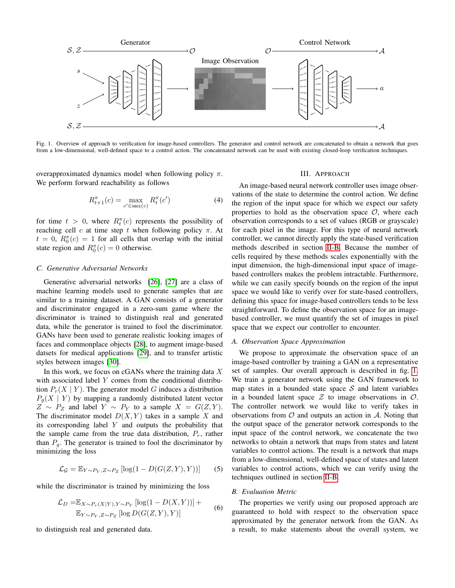

<span id="page-2-0"></span>Fig. 1. Overview of approach to verification for image-based controllers. The generator and control network are concatenated to obtain a network that goes from a low-dimensional, well-defined space to a control action. The concatenated network can be used with existing closed-loop verification techniques.

overapproximated dynamics model when following policy π. We perform forward reachability as follows

$$
R_{t+1}^{\pi}(c) = \max_{c' \in \text{succ}(c)} R_t^{\pi}(c')
$$
 (4)

for time  $t > 0$ , where  $R_t^{\pi}(c)$  represents the possibility of reaching cell c at time step t when following policy  $\pi$ . At  $t = 0$ ,  $R_0^{\pi}(c) = 1$  for all cells that overlap with the initial state region and  $R_0^{\pi}(c) = 0$  otherwise.

### <span id="page-2-1"></span>*C. Generative Adversarial Networks*

Generative adversarial networks [\[26\]](#page-9-7), [\[27\]](#page-9-8) are a class of machine learning models used to generate samples that are similar to a training dataset. A GAN consists of a generator and discriminator engaged in a zero-sum game where the discriminator is trained to distinguish real and generated data, while the generator is trained to fool the discriminator. GANs have been used to generate realistic looking images of faces and commonplace objects [\[28\]](#page-9-9), to augment image-based datsets for medical applications [\[29\]](#page-9-10), and to transfer artistic styles between images [\[30\]](#page-9-11).

In this work, we focus on  $cGANs$  where the training data  $X$ with associated label Y comes from the conditional distribution  $P_r(X | Y)$ . The generator model G induces a distribution  $P_q(X \mid Y)$  by mapping a randomly distributed latent vector  $Z \sim P_Z$  and label  $Y \sim P_Y$  to a sample  $X = G(Z, Y)$ . The discriminator model  $D(X, Y)$  takes in a sample X and its corresponding label  $Y$  and outputs the probability that the sample came from the true data distribution,  $P_r$ , rather than  $P_q$ . The generator is trained to fool the discriminator by minimizing the loss

$$
\mathcal{L}_{\mathcal{G}} = \mathbb{E}_{Y \sim P_Y, Z \sim P_Z} [\log(1 - D(G(Z, Y), Y))]
$$
(5)

while the discriminator is trained by minimizing the loss

$$
\mathcal{L}_D = \mathbb{E}_{X \sim P_r(X|Y), Y \sim P_Y} [\log(1 - D(X, Y))] +
$$
  

$$
\mathbb{E}_{Y \sim P_Y, Z \sim P_Z} [\log D(G(Z, Y), Y)]
$$
 (6)

to distinguish real and generated data.

#### III. APPROACH

An image-based neural network controller uses image observations of the state to determine the control action. We define the region of the input space for which we expect our safety properties to hold as the observation space  $O$ , where each observation corresponds to a set of values (RGB or grayscale) for each pixel in the image. For this type of neural network controller, we cannot directly apply the state-based verification methods described in section [II-B.](#page-1-1) Because the number of cells required by these methods scales exponentially with the input dimension, the high-dimensional input space of imagebased controllers makes the problem intractable. Furthermore, while we can easily specify bounds on the region of the input space we would like to verify over for state-based controllers, defining this space for image-based controllers tends to be less straightforward. To define the observation space for an imagebased controller, we must quantify the set of images in pixel space that we expect our controller to encounter.

#### *A. Observation Space Approximation*

We propose to approximate the observation space of an image-based controller by training a GAN on a representative set of samples. Our overall approach is described in fig. [1.](#page-2-0) We train a generator network using the GAN framework to map states in a bounded state space  $S$  and latent variables in a bounded latent space  $\mathcal Z$  to image observations in  $\mathcal O$ . The controller network we would like to verify takes in observations from  $\mathcal O$  and outputs an action in  $\mathcal A$ . Noting that the output space of the generator network corresponds to the input space of the control network, we concatenate the two networks to obtain a network that maps from states and latent variables to control actions. The result is a network that maps from a low-dimensional, well-defined space of states and latent variables to control actions, which we can verify using the techniques outlined in section [II-B.](#page-1-1)

#### *B. Evaluation Metric*

The properties we verify using our proposed approach are guaranteed to hold with respect to the observation space approximated by the generator network from the GAN. As a result, to make statements about the overall system, we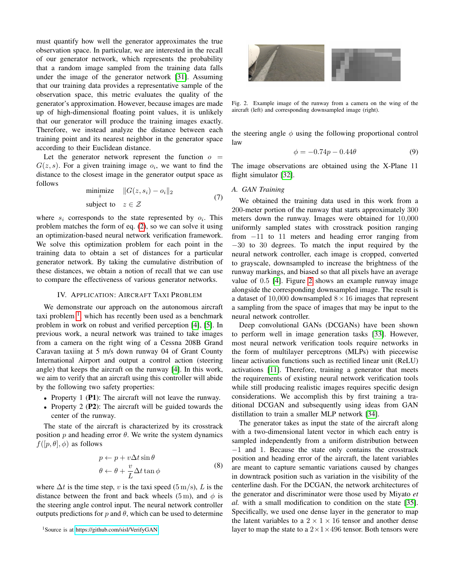must quantify how well the generator approximates the true observation space. In particular, we are interested in the recall of our generator network, which represents the probability that a random image sampled from the training data falls under the image of the generator network [\[31\]](#page-9-12). Assuming that our training data provides a representative sample of the observation space, this metric evaluates the quality of the generator's approximation. However, because images are made up of high-dimensional floating point values, it is unlikely that our generator will produce the training images exactly. Therefore, we instead analyze the distance between each training point and its nearest neighbor in the generator space according to their Euclidean distance.

Let the generator network represent the function  $o =$  $G(z, s)$ . For a given training image  $o_i$ , we want to find the distance to the closest image in the generator output space as follows

<span id="page-3-3"></span>
$$
\begin{array}{ll}\n\text{minimize} & \|G(z, s_i) - o_i\|_2 \\
\text{subject to} & z \in \mathcal{Z}\n\end{array} \tag{7}
$$

where  $s_i$  corresponds to the state represented by  $o_i$ . This problem matches the form of eq. [\(2\)](#page-1-2), so we can solve it using an optimization-based neural network verification framework. We solve this optimization problem for each point in the training data to obtain a set of distances for a particular generator network. By taking the cumulative distribution of these distances, we obtain a notion of recall that we can use to compare the effectiveness of various generator networks.

## IV. APPLICATION: AIRCRAFT TAXI PROBLEM

We demonstrate our approach on the autonomous aircraft taxi problem  $<sup>1</sup>$  $<sup>1</sup>$  $<sup>1</sup>$ , which has recently been used as a benchmark</sup> problem in work on robust and verified perception [\[4\]](#page-8-4), [\[5\]](#page-8-11). In previous work, a neural network was trained to take images from a camera on the right wing of a Cessna 208B Grand Caravan taxiing at 5 m/s down runway 04 of Grant County International Airport and output a control action (steering angle) that keeps the aircraft on the runway [\[4\]](#page-8-4). In this work, we aim to verify that an aircraft using this controller will abide by the following two safety properties:

- Property 1 (P1): The aircraft will not leave the runway.
- Property 2 (P2): The aircraft will be guided towards the center of the runway.

The state of the aircraft is characterized by its crosstrack position  $p$  and heading error  $\theta$ . We write the system dynamics  $f([p, \theta], \phi)$  as follows

$$
p \leftarrow p + v\Delta t \sin \theta
$$
  
\n
$$
\theta \leftarrow \theta + \frac{v}{L} \Delta t \tan \phi
$$
 (8)

where  $\Delta t$  is the time step, v is the taxi speed (5 m/s), L is the distance between the front and back wheels (5 m), and  $\phi$  is the steering angle control input. The neural network controller outputs predictions for p and  $\theta$ , which can be used to determine



Fig. 2. Example image of the runway from a camera on the wing of the aircraft (left) and corresponding downsampled image (right).

<span id="page-3-1"></span>the steering angle  $\phi$  using the following proportional control law

<span id="page-3-2"></span>
$$
\phi = -0.74p - 0.44\theta \tag{9}
$$

The image observations are obtained using the X-Plane 11 flight simulator [\[32\]](#page-9-13).

### *A. GAN Training*

We obtained the training data used in this work from a 200-meter portion of the runway that starts approximately 300 meters down the runway. Images were obtained for 10,000 uniformly sampled states with crosstrack position ranging from −11 to 11 meters and heading error ranging from −30 to 30 degrees. To match the input required by the neural network controller, each image is cropped, converted to grayscale, downsampled to increase the brightness of the runway markings, and biased so that all pixels have an average value of 0.5 [\[4\]](#page-8-4). Figure [2](#page-3-1) shows an example runway image alongside the corresponding downsampled image. The result is a dataset of 10,000 downsampled  $8 \times 16$  images that represent a sampling from the space of images that may be input to the neural network controller.

Deep convolutional GANs (DCGANs) have been shown to perform well in image generation tasks [\[33\]](#page-9-14). However, most neural network verification tools require networks in the form of multilayer perceptrons (MLPs) with piecewise linear activation functions such as rectified linear unit (ReLU) activations [\[11\]](#page-8-7). Therefore, training a generator that meets the requirements of existing neural network verification tools while still producing realistic images requires specific design considerations. We accomplish this by first training a traditional DCGAN and subsequently using ideas from GAN distillation to train a smaller MLP network [\[34\]](#page-9-15).

The generator takes as input the state of the aircraft along with a two-dimensional latent vector in which each entry is sampled independently from a uniform distribution between −1 and 1. Because the state only contains the crosstrack position and heading error of the aircraft, the latent variables are meant to capture semantic variations caused by changes in downtrack position such as variation in the visibility of the centerline dash. For the DCGAN, the network architectures of the generator and discriminator were those used by Miyato *et al.* with a small modification to condition on the state [\[35\]](#page-9-16). Specifically, we used one dense layer in the generator to map the latent variables to a  $2 \times 1 \times 16$  tensor and another dense layer to map the state to a  $2 \times 1 \times 496$  tensor. Both tensors were

<span id="page-3-0"></span><sup>1</sup>Source is at [https://github.com/sisl/VerifyGAN.](https://github.com/sisl/VerifyGAN)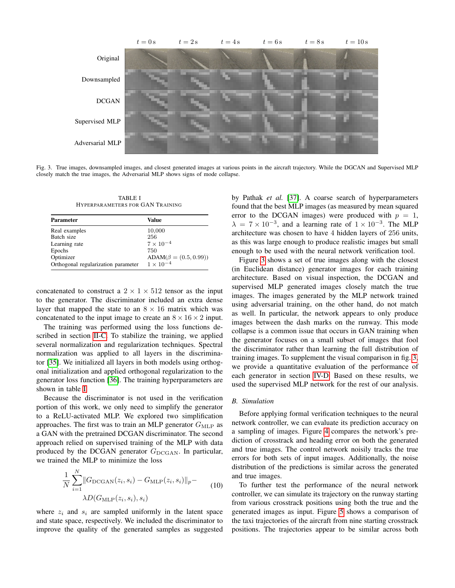

<span id="page-4-1"></span>Fig. 3. True images, downsampled images, and closest generated images at various points in the aircraft trajectory. While the DGCAN and Supervised MLP closely match the true images, the Adversarial MLP shows signs of mode collapse.

TABLE I HYPERPARAMETERS FOR GAN TRAINING

<span id="page-4-0"></span>

| <b>Parameter</b>                    | Value                       |
|-------------------------------------|-----------------------------|
| Real examples                       | 10,000                      |
| Batch size                          | 256                         |
| Learning rate                       | $7 \times 10^{-4}$          |
| Epochs                              | 750                         |
| Optimizer                           | $ADAM(\beta = (0.5, 0.99))$ |
| Orthogonal regularization parameter | $1 \times 10^{-4}$          |

concatenated to construct a  $2 \times 1 \times 512$  tensor as the input to the generator. The discriminator included an extra dense layer that mapped the state to an  $8 \times 16$  matrix which was concatenated to the input image to create an  $8 \times 16 \times 2$  input.

The training was performed using the loss functions described in section [II-C.](#page-2-1) To stabilize the training, we applied several normalization and regularization techniques. Spectral normalization was applied to all layers in the discriminator [\[35\]](#page-9-16). We initialized all layers in both models using orthogonal initialization and applied orthogonal regularization to the generator loss function [\[36\]](#page-9-17). The training hyperparameters are shown in table [I.](#page-4-0)

Because the discriminator is not used in the verification portion of this work, we only need to simplify the generator to a ReLU-activated MLP. We explored two simplification approaches. The first was to train an MLP generator  $G_{MLP}$  as a GAN with the pretrained DCGAN discriminator. The second approach relied on supervised training of the MLP with data produced by the DCGAN generator  $G_{\text{DCGAN}}$ . In particular, we trained the MLP to minimize the loss

$$
\frac{1}{N} \sum_{i=1}^{N} ||G_{\text{DCGAN}}(z_i, s_i) - G_{\text{MLP}}(z_i, s_i)||_p - \lambda D(G_{\text{MLP}}(z_i, s_i), s_i)
$$
\n(10)

where  $z_i$  and  $s_i$  are sampled uniformly in the latent space and state space, respectively. We included the discriminator to improve the quality of the generated samples as suggested by Pathak *et al.* [\[37\]](#page-9-18). A coarse search of hyperparameters found that the best MLP images (as measured by mean squared error to the DCGAN images) were produced with  $p = 1$ ,  $\lambda = 7 \times 10^{-3}$ , and a learning rate of  $1 \times 10^{-3}$ . The MLP architecture was chosen to have 4 hidden layers of 256 units, as this was large enough to produce realistic images but small enough to be used with the neural network verification tool.

Figure [3](#page-4-1) shows a set of true images along with the closest (in Euclidean distance) generator images for each training architecture. Based on visual inspection, the DCGAN and supervised MLP generated images closely match the true images. The images generated by the MLP network trained using adversarial training, on the other hand, do not match as well. In particular, the network appears to only produce images between the dash marks on the runway. This mode collapse is a common issue that occurs in GAN training when the generator focuses on a small subset of images that fool the discriminator rather than learning the full distribution of training images. To supplement the visual comparison in fig. [3,](#page-4-1) we provide a quantitative evaluation of the performance of each generator in section [IV-D.](#page-6-0) Based on these results, we used the supervised MLP network for the rest of our analysis.

#### *B. Simulation*

Before applying formal verification techniques to the neural network controller, we can evaluate its prediction accuracy on a sampling of images. Figure [4](#page-5-0) compares the network's prediction of crosstrack and heading error on both the generated and true images. The control network noisily tracks the true errors for both sets of input images. Additionally, the noise distribution of the predictions is similar across the generated and true images.

To further test the performance of the neural network controller, we can simulate its trajectory on the runway starting from various crosstrack positions using both the true and the generated images as input. Figure [5](#page-5-1) shows a comparison of the taxi trajectories of the aircraft from nine starting crosstrack positions. The trajectories appear to be similar across both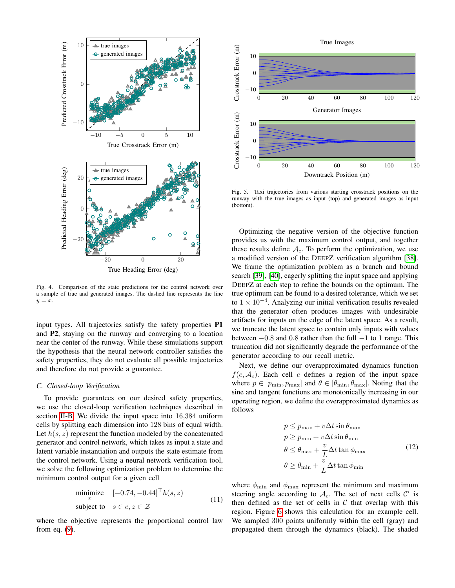

<span id="page-5-0"></span>Fig. 4. Comparison of the state predictions for the control network over a sample of true and generated images. The dashed line represents the line  $y = x$ .

input types. All trajectories satisfy the safety properties P1 and P2, staying on the runway and converging to a location near the center of the runway. While these simulations support the hypothesis that the neural network controller satisfies the safety properties, they do not evaluate all possible trajectories and therefore do not provide a guarantee.

#### *C. Closed-loop Verification*

To provide guarantees on our desired safety properties, we use the closed-loop verification techniques described in section [II-B.](#page-1-1) We divide the input space into 16,384 uniform cells by splitting each dimension into 128 bins of equal width. Let  $h(s, z)$  represent the function modeled by the concatenated generator and control network, which takes as input a state and latent variable instantiation and outputs the state estimate from the control network. Using a neural network verification tool, we solve the following optimization problem to determine the minimum control output for a given cell

$$
\begin{array}{ll}\text{minimize} & [-0.74, -0.44]^\top h(s, z) \\ \text{subject to} & s \in c, z \in \mathcal{Z} \end{array} \tag{11}
$$

where the objective represents the proportional control law from eq. [\(9\)](#page-3-2).



<span id="page-5-1"></span>Fig. 5. Taxi trajectories from various starting crosstrack positions on the runway with the true images as input (top) and generated images as input (bottom).

Optimizing the negative version of the objective function provides us with the maximum control output, and together these results define  $A_c$ . To perform the optimization, we use a modified version of the DEEPZ verification algorithm [\[38\]](#page-9-19). We frame the optimization problem as a branch and bound search [\[39\]](#page-9-20), [\[40\]](#page-9-21), eagerly splitting the input space and applying DEEPZ at each step to refine the bounds on the optimum. The true optimum can be found to a desired tolerance, which we set to  $1 \times 10^{-4}$ . Analyzing our initial verification results revealed that the generator often produces images with undesirable artifacts for inputs on the edge of the latent space. As a result, we truncate the latent space to contain only inputs with values between  $-0.8$  and 0.8 rather than the full  $-1$  to 1 range. This truncation did not significantly degrade the performance of the generator according to our recall metric.

Next, we define our overapproximated dynamics function  $f(c, \mathcal{A}_c)$ . Each cell c defines a region of the input space where  $p \in [p_{\min}, p_{\max}]$  and  $\theta \in [\theta_{\min}, \theta_{\max}]$ . Noting that the sine and tangent functions are monotonically increasing in our operating region, we define the overapproximated dynamics as follows

$$
p \le p_{\max} + v\Delta t \sin \theta_{\max}
$$
  
\n
$$
p \ge p_{\min} + v\Delta t \sin \theta_{\min}
$$
  
\n
$$
\theta \le \theta_{\max} + \frac{v}{L}\Delta t \tan \phi_{\max}
$$
  
\n
$$
\theta \ge \theta_{\min} + \frac{v}{L}\Delta t \tan \phi_{\min}
$$
\n(12)

<span id="page-5-2"></span>where  $\phi_{\text{min}}$  and  $\phi_{\text{max}}$  represent the minimum and maximum steering angle according to  $A_c$ . The set of next cells  $C'$  is then defined as the set of cells in  $C$  that overlap with this region. Figure [6](#page-6-1) shows this calculation for an example cell. We sampled 300 points uniformly within the cell (gray) and propagated them through the dynamics (black). The shaded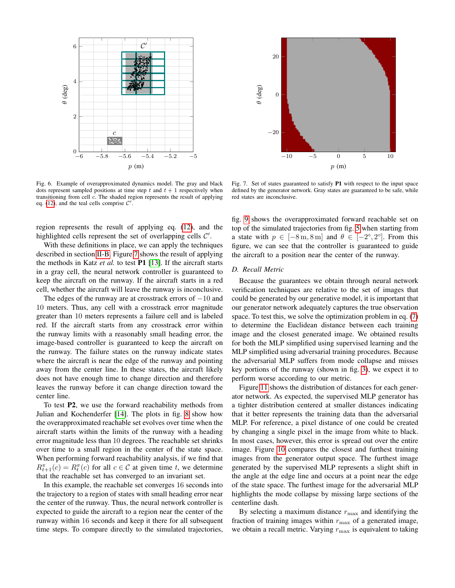

<span id="page-6-1"></span>Fig. 6. Example of overapproximated dynamics model. The gray and black dots represent sampled positions at time step t and  $t + 1$  respectively when transitioning from cell c. The shaded region represents the result of applying eq. [\(12\)](#page-5-2), and the teal cells comprise  $\mathcal{C}'$ .

region represents the result of applying eq. [\(12\)](#page-5-2), and the highlighted cells represent the set of overlapping cells  $\mathcal{C}'$ .

With these definitions in place, we can apply the techniques described in section [II-B.](#page-1-1) Figure [7](#page-6-2) shows the result of applying the methods in Katz *et al.* to test P1 [\[13\]](#page-8-8). If the aircraft starts in a gray cell, the neural network controller is guaranteed to keep the aircraft on the runway. If the aircraft starts in a red cell, whether the aircraft will leave the runway is inconclusive.

The edges of the runway are at crosstrack errors of  $-10$  and 10 meters. Thus, any cell with a crosstrack error magnitude greater than 10 meters represents a failure cell and is labeled red. If the aircraft starts from any crosstrack error within the runway limits with a reasonably small heading error, the image-based controller is guaranteed to keep the aircraft on the runway. The failure states on the runway indicate states where the aircraft is near the edge of the runway and pointing away from the center line. In these states, the aircraft likely does not have enough time to change direction and therefore leaves the runway before it can change direction toward the center line.

To test P2, we use the forward reachability methods from Julian and Kochenderfer [\[14\]](#page-8-10). The plots in fig. [8](#page-7-0) show how the overapproximated reachable set evolves over time when the aircraft starts within the limits of the runway with a heading error magnitude less than 10 degrees. The reachable set shrinks over time to a small region in the center of the state space. When performing forward reachability analysis, if we find that  $R_{t+1}^{\pi}(c) = R_t^{\pi}(c)$  for all  $c \in \mathcal{C}$  at given time t, we determine that the reachable set has converged to an invariant set.

In this example, the reachable set converges 16 seconds into the trajectory to a region of states with small heading error near the center of the runway. Thus, the neural network controller is expected to guide the aircraft to a region near the center of the runway within 16 seconds and keep it there for all subsequent time steps. To compare directly to the simulated trajectories,



<span id="page-6-2"></span>Fig. 7. Set of states guaranteed to satisfy P1 with respect to the input space defined by the generator network. Gray states are guaranteed to be safe, while red states are inconclusive.

fig. [9](#page-7-1) shows the overapproximated forward reachable set on top of the simulated trajectories from fig. [5](#page-5-1) when starting from a state with  $p \in [-8 \text{ m}, 8 \text{ m}]$  and  $\theta \in [-2^{\circ}, 2^{\circ}]$ . From this figure, we can see that the controller is guaranteed to guide the aircraft to a position near the center of the runway.

## <span id="page-6-0"></span>*D. Recall Metric*

Because the guarantees we obtain through neural network verification techniques are relative to the set of images that could be generated by our generative model, it is important that our generator network adequately captures the true observation space. To test this, we solve the optimization problem in eq. [\(7\)](#page-3-3) to determine the Euclidean distance between each training image and the closest generated image. We obtained results for both the MLP simplified using supervised learning and the MLP simplified using adversarial training procedures. Because the adversarial MLP suffers from mode collapse and misses key portions of the runway (shown in fig. [3\)](#page-4-1), we expect it to perform worse according to our metric.

Figure [11](#page-7-2) shows the distribution of distances for each generator network. As expected, the supervised MLP generator has a tighter distribution centered at smaller distances indicating that it better represents the training data than the adversarial MLP. For reference, a pixel distance of one could be created by changing a single pixel in the image from white to black. In most cases, however, this error is spread out over the entire image. Figure [10](#page-7-3) compares the closest and furthest training images from the generator output space. The furthest image generated by the supervised MLP represents a slight shift in the angle at the edge line and occurs at a point near the edge of the state space. The furthest image for the adversarial MLP highlights the mode collapse by missing large sections of the centerline dash.

By selecting a maximum distance  $r_{\text{max}}$  and identifying the fraction of training images within  $r_{\text{max}}$  of a generated image, we obtain a recall metric. Varying  $r_{\text{max}}$  is equivalent to taking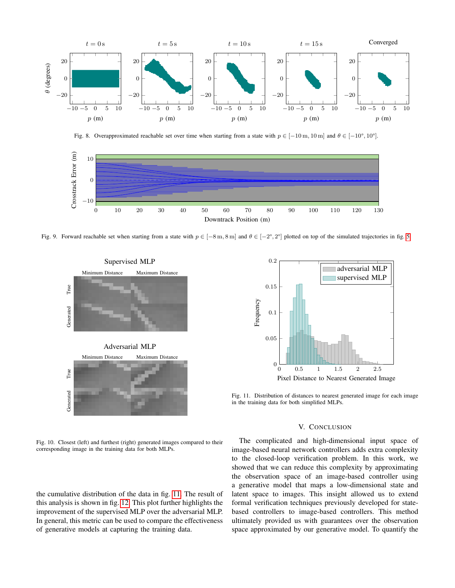

<span id="page-7-0"></span>Fig. 8. Overapproximated reachable set over time when starting from a state with  $p \in [-10 \text{ m}, 10 \text{ m}]$  and  $\theta \in [-10^{\circ}, 10^{\circ}]$ .



<span id="page-7-1"></span>Fig. 9. Forward reachable set when starting from a state with  $p \in [-8 \text{ m}, 8 \text{ m}]$  and  $\theta \in [-2^{\circ}, 2^{\circ}]$  plotted on top of the simulated trajectories in fig. [5.](#page-5-1)



<span id="page-7-3"></span>Fig. 10. Closest (left) and furthest (right) generated images compared to their corresponding image in the training data for both MLPs.

the cumulative distribution of the data in fig. [11.](#page-7-2) The result of this analysis is shown in fig. [12.](#page-8-12) This plot further highlights the improvement of the supervised MLP over the adversarial MLP. In general, this metric can be used to compare the effectiveness of generative models at capturing the training data.



<span id="page-7-2"></span>Fig. 11. Distribution of distances to nearest generated image for each image in the training data for both simplified MLPs.

## V. CONCLUSION

The complicated and high-dimensional input space of image-based neural network controllers adds extra complexity to the closed-loop verification problem. In this work, we showed that we can reduce this complexity by approximating the observation space of an image-based controller using a generative model that maps a low-dimensional state and latent space to images. This insight allowed us to extend formal verification techniques previously developed for statebased controllers to image-based controllers. This method ultimately provided us with guarantees over the observation space approximated by our generative model. To quantify the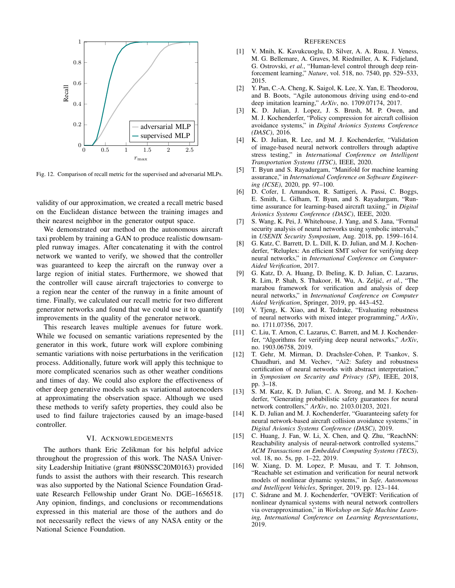

<span id="page-8-12"></span>Fig. 12. Comparison of recall metric for the supervised and adversarial MLPs.

validity of our approximation, we created a recall metric based on the Euclidean distance between the training images and their nearest neighbor in the generator output space.

We demonstrated our method on the autonomous aircraft taxi problem by training a GAN to produce realistic downsampled runway images. After concatenating it with the control network we wanted to verify, we showed that the controller was guaranteed to keep the aircraft on the runway over a large region of initial states. Furthermore, we showed that the controller will cause aircraft trajectories to converge to a region near the center of the runway in a finite amount of time. Finally, we calculated our recall metric for two different generator networks and found that we could use it to quantify improvements in the quality of the generator network.

This research leaves multiple avenues for future work. While we focused on semantic variations represented by the generator in this work, future work will explore combining semantic variations with noise perturbations in the verification process. Additionally, future work will apply this technique to more complicated scenarios such as other weather conditions and times of day. We could also explore the effectiveness of other deep generative models such as variational autoencoders at approximating the observation space. Although we used these methods to verify safety properties, they could also be used to find failure trajectories caused by an image-based controller.

#### VI. ACKNOWLEDGEMENTS

The authors thank Eric Zelikman for his helpful advice throughout the progression of this work. The NASA University Leadership Initiative (grant #80NSSC20M0163) provided funds to assist the authors with their research. This research was also supported by the National Science Foundation Graduate Research Fellowship under Grant No. DGE–1656518. Any opinion, findings, and conclusions or recommendations expressed in this material are those of the authors and do not necessarily reflect the views of any NASA entity or the National Science Foundation.

#### **REFERENCES**

- <span id="page-8-0"></span>[1] V. Mnih, K. Kavukcuoglu, D. Silver, A. A. Rusu, J. Veness, M. G. Bellemare, A. Graves, M. Riedmiller, A. K. Fidjeland, G. Ostrovski, *et al.*, "Human-level control through deep reinforcement learning," *Nature*, vol. 518, no. 7540, pp. 529–533, 2015.
- <span id="page-8-1"></span>[2] Y. Pan, C.-A. Cheng, K. Saigol, K. Lee, X. Yan, E. Theodorou, and B. Boots, "Agile autonomous driving using end-to-end deep imitation learning," *ArXiv*, no. 1709.07174, 2017.
- <span id="page-8-2"></span>[3] K. D. Julian, J. Lopez, J. S. Brush, M. P. Owen, and M. J. Kochenderfer, "Policy compression for aircraft collision avoidance systems," in *Digital Avionics Systems Conference (DASC)*, 2016.
- <span id="page-8-4"></span>[4] K. D. Julian, R. Lee, and M. J. Kochenderfer, "Validation of image-based neural network controllers through adaptive stress testing," in *International Conference on Intelligent Transportation Systems (ITSC)*, IEEE, 2020.
- <span id="page-8-11"></span>[5] T. Byun and S. Rayadurgam, "Manifold for machine learning assurance," in *International Conference on Software Engineering (ICSE)*, 2020, pp. 97–100.
- <span id="page-8-3"></span>[6] D. Cofer, I. Amundson, R. Sattigeri, A. Passi, C. Boggs, E. Smith, L. Gilham, T. Byun, and S. Rayadurgam, "Runtime assurance for learning-based aircraft taxiing," in *Digital Avionics Systems Conference (DASC)*, IEEE, 2020.
- <span id="page-8-5"></span>[7] S. Wang, K. Pei, J. Whitehouse, J. Yang, and S. Jana, "Formal security analysis of neural networks using symbolic intervals," in *USENIX Security Symposium*, Aug. 2018, pp. 1599–1614.
- [8] G. Katz, C. Barrett, D. L. Dill, K. D. Julian, and M. J. Kochenderfer, "Reluplex: An efficient SMT solver for verifying deep neural networks," in *International Conference on Computer-Aided Verification*, 2017.
- [9] G. Katz, D. A. Huang, D. Ibeling, K. D. Julian, C. Lazarus, R. Lim, P. Shah, S. Thakoor, H. Wu, A. Zeljić, et al., "The marabou framework for verification and analysis of deep neural networks," in *International Conference on Computer Aided Verification*, Springer, 2019, pp. 443–452.
- [10] V. Tjeng, K. Xiao, and R. Tedrake, "Evaluating robustness of neural networks with mixed integer programming," *ArXiv*, no. 1711.07356, 2017.
- <span id="page-8-7"></span>[11] C. Liu, T. Arnon, C. Lazarus, C. Barrett, and M. J. Kochenderfer, "Algorithms for verifying deep neural networks," *ArXiv*, no. 1903.06758, 2019.
- <span id="page-8-6"></span>[12] T. Gehr, M. Mirman, D. Drachsler-Cohen, P. Tsankov, S. Chaudhuri, and M. Vechev, "Ai2: Safety and robustness certification of neural networks with abstract interpretation," in *Symposium on Security and Privacy (SP)*, IEEE, 2018, pp. 3–18.
- <span id="page-8-8"></span>[13] S. M. Katz, K. D. Julian, C. A. Strong, and M. J. Kochenderfer, "Generating probabilistic safety guarantees for neural network controllers," *ArXiv*, no. 2103.01203, 2021.
- <span id="page-8-10"></span>[14] K. D. Julian and M. J. Kochenderfer, "Guaranteeing safety for neural network-based aircraft collision avoidance systems," in *Digital Avionics Systems Conference (DASC)*, 2019.
- [15] C. Huang, J. Fan, W. Li, X. Chen, and Q. Zhu, "ReachNN: Reachability analysis of neural-network controlled systems," *ACM Transactions on Embedded Computing Systems (TECS)*, vol. 18, no. 5s, pp. 1–22, 2019.
- [16] W. Xiang, D. M. Lopez, P. Musau, and T. T. Johnson, "Reachable set estimation and verification for neural network models of nonlinear dynamic systems," in *Safe, Autonomous and Intelligent Vehicles*, Springer, 2019, pp. 123–144.
- <span id="page-8-9"></span>[17] C. Sidrane and M. J. Kochenderfer, "OVERT: Verification of nonlinear dynamical systems with neural network controllers via overapproximation," in *Workshop on Safe Machine Learning, International Conference on Learning Representations*, 2019.